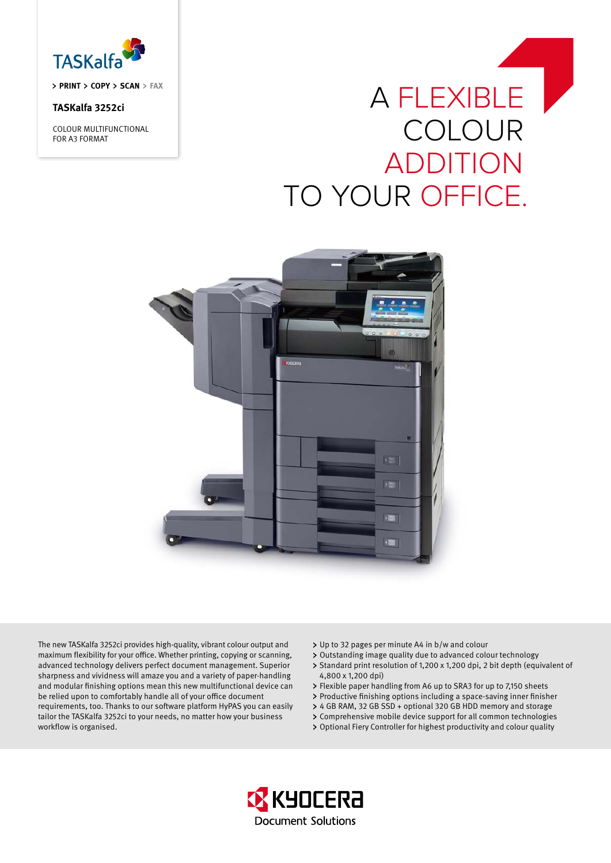

**PRINT COPY SCAN FAX**

# **TASKalfa 3252ci**

COLOUR MULTIFUNCTIONAL FOR A3 FORMAT

# A flexible **COLOUR ADDITION** To your Office.



The new TASKalfa 3252ci provides high-quality, vibrant colour output and maximum flexibility for your office. Whether printing, copying or scanning, advanced technology delivers perfect document management. Superior sharpness and vividness will amaze you and a variety of paper-handling and modular finishing options mean this new multifunctional device can be relied upon to comfortably handle all of your office document requirements, too. Thanks to our software platform HyPAS you can easily tailor the TASKalfa 3252ci to your needs, no matter how your business workflow is organised.

- Up to 32 pages per minute A4 in b/w and colour
- Outstanding image quality due to advanced colour technology
- > Standard print resolution of 1,200 x 1,200 dpi, 2 bit depth (equivalent of 4,800 x 1,200 dpi)
- Flexible paper handling from A6 up to SRA3 for up to 7,150 sheets
- Productive finishing options including a space-saving inner finisher
- 4 GB RAM, 32 GB SSD + optional 320 GB HDD memory and storage
- Comprehensive mobile device support for all common technologies
- Optional Fiery Controller for highest productivity and colour quality